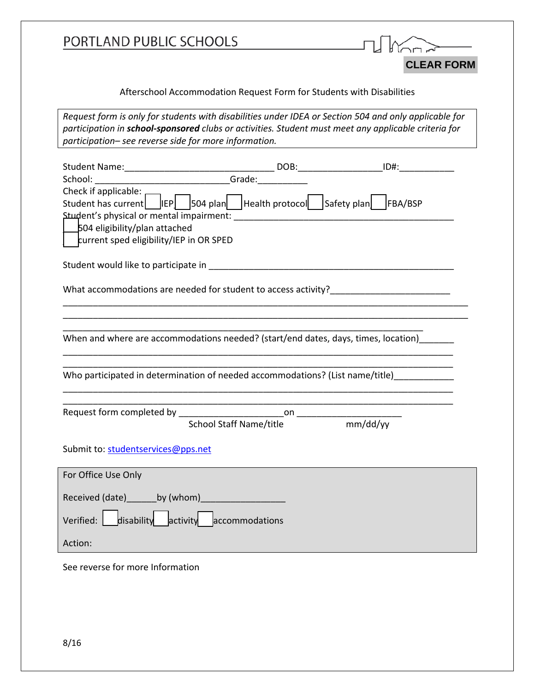| PORTLAND PUBLIC SCHOOLS                                                                                                                                                                                                                                                |  |                   |
|------------------------------------------------------------------------------------------------------------------------------------------------------------------------------------------------------------------------------------------------------------------------|--|-------------------|
|                                                                                                                                                                                                                                                                        |  | <b>CLEAR FORM</b> |
| Afterschool Accommodation Request Form for Students with Disabilities                                                                                                                                                                                                  |  |                   |
| Request form is only for students with disabilities under IDEA or Section 504 and only applicable for<br>participation in school-sponsored clubs or activities. Student must meet any applicable criteria for<br>participation- see reverse side for more information. |  |                   |
|                                                                                                                                                                                                                                                                        |  |                   |
|                                                                                                                                                                                                                                                                        |  |                   |
| Check if applicable:<br>Student has current   IEP   504 plan   Health protocol   Safety plan   FBA/BSP                                                                                                                                                                 |  |                   |
| 504 eligibility/plan attached<br>current sped eligibility/IEP in OR SPED                                                                                                                                                                                               |  |                   |
|                                                                                                                                                                                                                                                                        |  |                   |
|                                                                                                                                                                                                                                                                        |  |                   |
| What accommodations are needed for student to access activity?_________________________                                                                                                                                                                                |  |                   |
| When and where are accommodations needed? (start/end dates, days, times, location)                                                                                                                                                                                     |  |                   |
| Who participated in determination of needed accommodations? (List name/title)                                                                                                                                                                                          |  |                   |
|                                                                                                                                                                                                                                                                        |  |                   |
| School Staff Name/title mm/dd/yy                                                                                                                                                                                                                                       |  |                   |
| Submit to: studentservices@pps.net                                                                                                                                                                                                                                     |  |                   |
| For Office Use Only                                                                                                                                                                                                                                                    |  |                   |
| Received (date) ________ by (whom) _______________________                                                                                                                                                                                                             |  |                   |
| Verified: $\begin{array}{ c c c c c }\n\hline\n\hline\n\hline\n\end{array}$ accommodations                                                                                                                                                                             |  |                   |
| Action:                                                                                                                                                                                                                                                                |  |                   |
| See reverse for more Information                                                                                                                                                                                                                                       |  |                   |